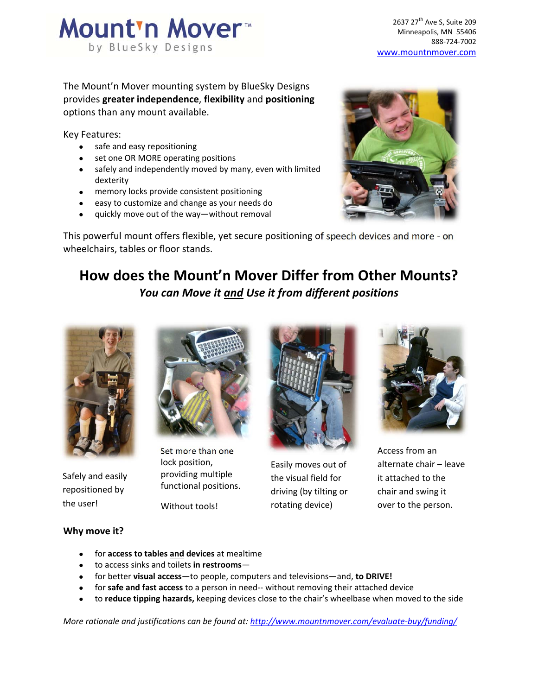

The Mount'n Mover mounting system by BlueSky Designs provides **greater independence**, **flexibility** and **positioning** options than any mount available.

Key Features:

- safe and easy repositioning
- set one OR MORE operating positions
- safely and independently moved by many, even with limited dexterity
- memory locks provide consistent positioning
- easy to customize and change as your needs do
- quickly move out of the way—without removal



This powerful mount offers flexible, yet secure positioning of speech devices and more ‐ on wheelchairs, tables or floor stands.

# **How does the Mount'n Mover Differ from Other Mounts?** *You can Move it and Use it from different positions*



Safely and easily repositioned by the user!



Set more than one lock position, providing multiple functional positions.

Without tools!



Easily moves out of the visual field for driving (by tilting or rotating device)



Access from an alternate chair – leave it attached to the chair and swing it over to the person.

### **Why move it?**

- for **access to tables and devices** at mealtime
- to access sinks and toilets **in restrooms**—
- for better **visual access**—to people, computers and televisions—and, **to DRIVE!**
- for **safe and fast access** to a person in need‐‐ without removing their attached device
- to **reduce tipping hazards,** keeping devices close to the chair's wheelbase when moved to the side

*More rationale and justifications can be found at: http://www.mountnmover.com/evaluate‐buy/funding/*